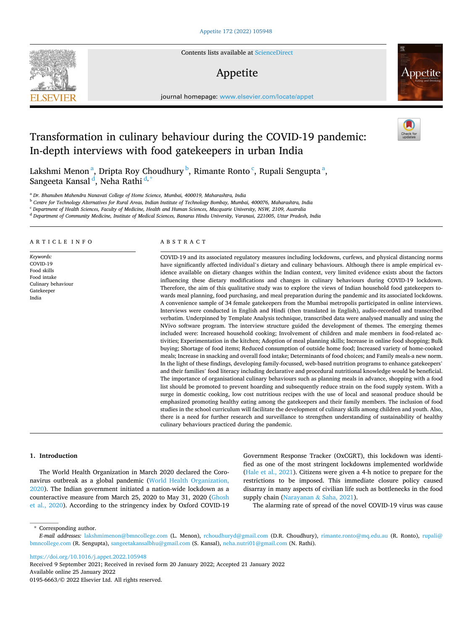Contents lists available at [ScienceDirect](www.sciencedirect.com/science/journal/01956663)

# Appetite

journal homepage: [www.elsevier.com/locate/appet](https://www.elsevier.com/locate/appet) 

# Transformation in culinary behaviour during the COVID-19 pandemic: In-depth interviews with food gatekeepers in urban India

Lakshmi Menon<sup>a</sup>, Dripta Roy Choudhury <sup>b</sup>, Rimante Ronto <sup>c</sup>, Rupali Sengupta <sup>a</sup>, Sangeeta Kansal <sup>d</sup>, Neha Rathi <sup>d,\*</sup>

<sup>a</sup> *Dr. Bhanuben Mahendra Nanavati College of Home Science, Mumbai, 400019, Maharashtra, India* 

<sup>b</sup> *Centre for Technology Alternatives for Rural Areas, Indian Institute of Technology Bombay, Mumbai, 400076, Maharashtra, India* 

<sup>c</sup> *Department of Health Sciences, Faculty of Medicine, Health and Human Sciences, Macquarie University, NSW, 2109, Australia* 

<sup>d</sup> *Department of Community Medicine, Institute of Medical Sciences, Banaras Hindu University, Varanasi, 221005, Uttar Pradesh, India* 

ARTICLE INFO

*Keywords:*  COVID-19 Food skills Food intake Culinary behaviour Gatekeeper India

# ABSTRACT

COVID-19 and its associated regulatory measures including lockdowns, curfews, and physical distancing norms have significantly affected individual's dietary and culinary behaviours. Although there is ample empirical evidence available on dietary changes within the Indian context, very limited evidence exists about the factors influencing these dietary modifications and changes in culinary behaviours during COVID-19 lockdown. Therefore, the aim of this qualitative study was to explore the views of Indian household food gatekeepers towards meal planning, food purchasing, and meal preparation during the pandemic and its associated lockdowns. A convenience sample of 34 female gatekeepers from the Mumbai metropolis participated in online interviews. Interviews were conducted in English and Hindi (then translated in English), audio-recorded and transcribed verbatim. Underpinned by Template Analysis technique, transcribed data were analysed manually and using the NVivo software program. The interview structure guided the development of themes. The emerging themes included were: Increased household cooking; Involvement of children and male members in food-related activities; Experimentation in the kitchen; Adoption of meal planning skills; Increase in online food shopping; Bulk buying; Shortage of food items; Reduced consumption of outside home food; Increased variety of home-cooked meals; Increase in snacking and overall food intake; Determinants of food choices; and Family meals-a new norm. In the light of these findings, developing family-focussed, web-based nutrition programs to enhance gatekeepers' and their families' food literacy including declarative and procedural nutritional knowledge would be beneficial. The importance of organisational culinary behaviours such as planning meals in advance, shopping with a food list should be promoted to prevent hoarding and subsequently reduce strain on the food supply system. With a surge in domestic cooking, low cost nutritious recipes with the use of local and seasonal produce should be emphasized promoting healthy eating among the gatekeepers and their family members. The inclusion of food studies in the school curriculum will facilitate the development of culinary skills among children and youth. Also, there is a need for further research and surveillance to strengthen understanding of sustainability of healthy culinary behaviours practiced during the pandemic.

## **1. Introduction**

The World Health Organization in March 2020 declared the Coronavirus outbreak as a global pandemic ([World Health Organization,](#page-9-0)  [2020\)](#page-9-0). The Indian government initiated a nation-wide lockdown as a counteractive measure from March 25, 2020 to May 31, 2020 [\(Ghosh](#page-8-0)  [et al., 2020](#page-8-0)). According to the stringency index by Oxford COVID-19 Government Response Tracker (OxCGRT), this lockdown was identified as one of the most stringent lockdowns implemented worldwide ([Hale et al., 2021](#page-8-0)). Citizens were given a 4-h notice to prepare for the restrictions to be imposed. This immediate closure policy caused disarray in many aspects of civilian life such as bottlenecks in the food supply chain ([Narayanan](#page-9-0) & Saha, 2021).

The alarming rate of spread of the novel COVID-19 virus was cause

\* Corresponding author.

<https://doi.org/10.1016/j.appet.2022.105948>

Available online 25 January 2022 0195-6663/© 2022 Elsevier Ltd. All rights reserved. Received 9 September 2021; Received in revised form 20 January 2022; Accepted 21 January 2022







*E-mail addresses:* [lakshmimenon@bmncollege.com](mailto:lakshmimenon@bmncollege.com) (L. Menon), [rchoudhuryd@gmail.com](mailto:rchoudhuryd@gmail.com) (D.R. Choudhury), [rimante.ronto@mq.edu.au](mailto:rimante.ronto@mq.edu.au) (R. Ronto), [rupali@](mailto:rupali@bmncollege.com)  [bmncollege.com](mailto:rupali@bmncollege.com) (R. Sengupta), [sangeetakansalbhu@gmail.com](mailto:sangeetakansalbhu@gmail.com) (S. Kansal), [neha.nutri01@gmail.com](mailto:neha.nutri01@gmail.com) (N. Rathi).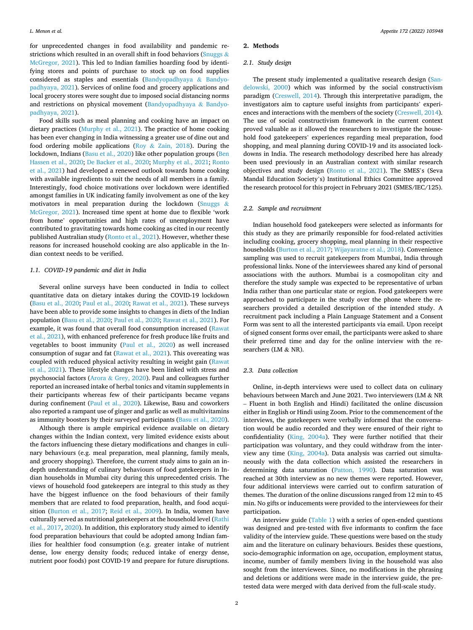for unprecedented changes in food availability and pandemic restrictions which resulted in an overall shift in food behaviors ([Snuggs](#page-9-0) & [McGregor, 2021\)](#page-9-0). This led to Indian families hoarding food by identifying stores and points of purchase to stock up on food supplies considered as staples and essentials [\(Bandyopadhyaya](#page-8-0) & Bandyo[padhyaya, 2021](#page-8-0)). Services of online food and grocery applications and local grocery stores were sought due to imposed social distancing norms and restrictions on physical movement ([Bandyopadhyaya](#page-8-0) & Bandyo[padhyaya, 2021](#page-8-0)).

Food skills such as meal planning and cooking have an impact on dietary practices [\(Murphy et al., 2021\)](#page-9-0). The practice of home cooking has been ever changing in India witnessing a greater use of dine out and food ordering mobile applications (Roy & [Zain, 2018](#page-9-0)). During the lockdown, Indians [\(Basu et al., 2020](#page-8-0)) like other population groups [\(Ben](#page-8-0)  [Hassen et al., 2020;](#page-8-0) [De Backer et al., 2020;](#page-8-0) [Murphy et al., 2021;](#page-9-0) [Ronto](#page-9-0)  [et al., 2021](#page-9-0)) had developed a renewed outlook towards home cooking with available ingredients to suit the needs of all members in a family. Interestingly, food choice motivations over lockdown were identified amongst families in UK indicating family involvement as one of the key motivators in meal preparation during the lockdown [\(Snuggs](#page-9-0)  $\&$ [McGregor, 2021\)](#page-9-0). Increased time spent at home due to flexible 'work from home' opportunities and high rates of unemployment have contributed to gravitating towards home cooking as cited in our recently published Australian study [\(Ronto et al., 2021](#page-9-0)). However, whether these reasons for increased household cooking are also applicable in the Indian context needs to be verified.

### *1.1. COVID-19 pandemic and diet in India*

Several online surveys have been conducted in India to collect quantitative data on dietary intakes during the COVID-19 lockdown ([Basu et al., 2020;](#page-8-0) [Paul et al., 2020; Rawat et al., 2021](#page-9-0)). These surveys have been able to provide some insights to changes in diets of the Indian population ([Basu et al., 2020](#page-8-0); [Paul et al., 2020](#page-9-0); [Rawat et al., 2021\)](#page-9-0). For example, it was found that overall food consumption increased [\(Rawat](#page-9-0)  [et al., 2021](#page-9-0)), with enhanced preference for fresh produce like fruits and vegetables to boost immunity [\(Paul et al., 2020\)](#page-9-0) as well increased consumption of sugar and fat [\(Rawat et al., 2021\)](#page-9-0). This overeating was coupled with reduced physical activity resulting in weight gain [\(Rawat](#page-9-0)  [et al., 2021\)](#page-9-0). These lifestyle changes have been linked with stress and psychosocial factors (Arora & [Grey, 2020](#page-8-0)). Paul and colleagues further reported an increased intake of herbal tonics and vitamin supplements in their participants whereas few of their participants became vegans during confinement ([Paul et al., 2020](#page-9-0)). Likewise, Basu and coworkers also reported a rampant use of ginger and garlic as well as multivitamins as immunity boosters by their surveyed participants [\(Basu et al., 2020](#page-8-0)).

Although there is ample empirical evidence available on dietary changes within the Indian context, very limited evidence exists about the factors influencing these dietary modifications and changes in culinary behaviours (e.g. meal preparation, meal planning, family meals, and grocery shopping). Therefore, the current study aims to gain an indepth understanding of culinary behaviours of food gatekeepers in Indian households in Mumbai city during this unprecedented crisis. The views of household food gatekeepers are integral to this study as they have the biggest influence on the food behaviours of their family members that are related to food preparation, health, and food acquisition [\(Burton et al., 2017](#page-8-0); [Reid et al., 2009](#page-9-0)). In India, women have culturally served as nutritional gatekeepers at the household level ([Rathi](#page-9-0)  [et al., 2017](#page-9-0), [2020](#page-9-0)). In addition, this exploratory study aimed to identify food preparation behaviours that could be adopted among Indian families for healthier food consumption (e.g. greater intake of nutrient dense, low energy density foods; reduced intake of energy dense, nutrient poor foods) post COVID-19 and prepare for future disruptions.

## **2. Methods**

## *2.1. Study design*

The present study implemented a qualitative research design [\(San](#page-9-0)[delowski, 2000\)](#page-9-0) which was informed by the social constructivism paradigm [\(Creswell, 2014](#page-8-0)). Through this interpretative paradigm, the investigators aim to capture useful insights from participants' experiences and interactions with the members of the society [\(Creswell, 2014](#page-8-0)). The use of social constructivism framework in the current context proved valuable as it allowed the researchers to investigate the household food gatekeepers' experiences regarding meal preparation, food shopping, and meal planning during COVID-19 and its associated lockdowns in India. The research methodology described here has already been used previously in an Australian context with similar research objectives and study design ([Ronto et al., 2021\)](#page-9-0). The SMES's (Seva Mandal Education Society's) Institutional Ethics Committee approved the research protocol for this project in February 2021 (SMES/IEC/125).

# *2.2. Sample and recruitment*

Indian household food gatekeepers were selected as informants for this study as they are primarily responsible for food-related activities including cooking, grocery shopping, meal planning in their respective households [\(Burton et al., 2017;](#page-8-0) [Wijayaratne et al., 2018](#page-9-0)). Convenience sampling was used to recruit gatekeepers from Mumbai, India through professional links. None of the interviewees shared any kind of personal associations with the authors. Mumbai is a cosmopolitan city and therefore the study sample was expected to be representative of urban India rather than one particular state or region. Food gatekeepers were approached to participate in the study over the phone where the researchers provided a detailed description of the intended study. A recruitment pack including a Plain Language Statement and a Consent Form was sent to all the interested participants via email. Upon receipt of signed consent forms over email, the participants were asked to share their preferred time and day for the online interview with the researchers (LM & NR).

## *2.3. Data collection*

Online, in-depth interviews were used to collect data on culinary behaviours between March and June 2021. Two interviewers (LM & NR – Fluent in both English and Hindi) facilitated the online discussion either in English or Hindi using Zoom. Prior to the commencement of the interviews, the gatekeepers were verbally informed that the conversation would be audio recorded and they were ensured of their right to confidentiality [\(King, 2004a\)](#page-9-0). They were further notified that their participation was voluntary, and they could withdraw from the interview any time [\(King, 2004a](#page-9-0)). Data analysis was carried out simultaneously with the data collection which assisted the researchers in determining data saturation ([Patton, 1990\)](#page-9-0). Data saturation was reached at 30th interview as no new themes were reported. However, four additional interviews were carried out to confirm saturation of themes. The duration of the online discussions ranged from 12 min to 45 min. No gifts or inducements were provided to the interviewees for their participation.

An interview guide [\(Table 1\)](#page-2-0) with a series of open-ended questions was designed and pre-tested with five informants to confirm the face validity of the interview guide. These questions were based on the study aim and the literature on culinary behaviours. Besides these questions, socio-demographic information on age, occupation, employment status, income, number of family members living in the household was also sought from the interviewees. Since, no modifications in the phrasing and deletions or additions were made in the interview guide, the pretested data were merged with data derived from the full-scale study.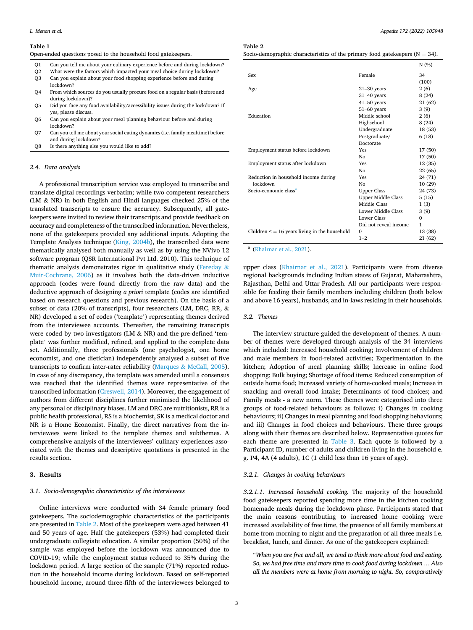#### <span id="page-2-0"></span>**Table 1**

Open-ended questions posed to the household food gatekeepers.

- Q1 Can you tell me about your culinary experience before and during lockdown?
- Q2 What were the factors which impacted your meal choice during lockdown?
- Can you explain about your food shopping experience before and during lockdown?
- Q4 From which sources do you usually procure food on a regular basis (before and during lockdown)?
- Q5 Did you face any food availability/accessibility issues during the lockdown? If yes, please discuss.
- Q6 Can you explain about your meal planning behaviour before and during lockdown?
- Q7 Can you tell me about your social eating dynamics (i.e. family mealtime) before and during lockdown?
- Q8 Is there anything else you would like to add?

### *2.4. Data analysis*

A professional transcription service was employed to transcribe and translate digital recordings verbatim; while two competent researchers (LM & NR) in both English and Hindi languages checked 25% of the translated transcripts to ensure the accuracy. Subsequently, all gatekeepers were invited to review their transcripts and provide feedback on accuracy and completeness of the transcribed information. Nevertheless, none of the gatekeepers provided any additional inputs. Adopting the Template Analysis technique ([King, 2004b](#page-9-0)), the transcribed data were thematically analysed both manually as well as by using the NVivo 12 software program (QSR International Pvt Ltd. 2010). This technique of thematic analysis demonstrates rigor in qualitative study [\(Fereday](#page-8-0) & [Muir-Cochrane, 2006\)](#page-8-0) as it involves both the data-driven inductive approach (codes were found directly from the raw data) and the deductive approach of designing *a priori* template (codes are identified based on research questions and previous research). On the basis of a subset of data (20% of transcripts), four researchers (LM, DRC, RR, & NR) developed a set of codes ('template') representing themes derived from the interviewee accounts. Thereafter, the remaining transcripts were coded by two investigators (LM & NR) and the pre-defined 'template' was further modified, refined, and applied to the complete data set. Additionally, three professionals (one psychologist, one home economist, and one dietician) independently analysed a subset of five transcripts to confirm inter-rater reliability (Marques & [McCall, 2005](#page-9-0)). In case of any discrepancy, the template was amended until a consensus was reached that the identified themes were representative of the transcribed information [\(Creswell, 2014](#page-8-0)). Moreover, the engagement of authors from different disciplines further minimised the likelihood of any personal or disciplinary biases. LM and DRC are nutritionists, RR is a public health professional, RS is a biochemist, SK is a medical doctor and NR is a Home Economist. Finally, the direct narratives from the interviewees were linked to the template themes and subthemes. A comprehensive analysis of the interviewees' culinary experiences associated with the themes and descriptive quotations is presented in the results section.

## **3. Results**

## *3.1. Socio-demographic characteristics of the interviewees*

Online interviews were conducted with 34 female primary food gatekeepers. The sociodemographic characteristics of the participants are presented in Table 2. Most of the gatekeepers were aged between 41 and 50 years of age. Half the gatekeepers (53%) had completed their undergraduate collegiate education. A similar proportion (50%) of the sample was employed before the lockdown was announced due to COVID-19; while the employment status reduced to 35% during the lockdown period. A large section of the sample (71%) reported reduction in the household income during lockdown. Based on self-reported household income, around three-fifth of the interviewees belonged to

#### **Table 2**

Socio-demographic characteristics of the primary food gatekeepers ( $N = 34$ ).

|                                                    |                           | N(%)     |
|----------------------------------------------------|---------------------------|----------|
| Sex                                                | Female                    | 34       |
|                                                    |                           | (100)    |
| Age                                                | $21-30$ years             | 2(6)     |
|                                                    | $31-40$ years             | 8(24)    |
|                                                    | $41-50$ years             | 21 (62)  |
|                                                    | $51-60$ years             | 3(9)     |
| Education                                          | Middle school             | 2(6)     |
|                                                    | Highschool                | 8(24)    |
|                                                    | Undergraduate             | 18 (53)  |
|                                                    | Postgraduate/             | 6(18)    |
|                                                    | Doctorate                 |          |
| Employment status before lockdown                  | Yes                       | 17 (50)  |
|                                                    | No                        | 17 (50)  |
| Employment status after lockdown                   | Yes                       | 12 (35)  |
|                                                    | No                        | 22 (65)  |
| Reduction in household income during               | Yes                       | 24 (71)  |
| lockdown                                           | No                        | 10 (29)  |
| Socio-economic class <sup>a</sup>                  | <b>Upper Class</b>        | 24 (73)  |
|                                                    | <b>Upper Middle Class</b> | 5(15)    |
|                                                    | Middle Class              | 1(3)     |
|                                                    | Lower Middle Class        | 3(9)     |
|                                                    | Lower Class               | $\Omega$ |
|                                                    | Did not reveal income     | 1        |
| Children $\leq$ = 16 years living in the household | $\Omega$                  | 13 (38)  |
|                                                    | $1 - 2$                   | 21 (62)  |

<sup>a</sup> [\(Khairnar et al., 2021](#page-9-0)).

upper class [\(Khairnar et al., 2021](#page-9-0)). Participants were from diverse regional backgrounds including Indian states of Gujarat, Maharashtra, Rajasthan, Delhi and Uttar Pradesh. All our participants were responsible for feeding their family members including children (both below and above 16 years), husbands, and in-laws residing in their households.

# *3.2. Themes*

The interview structure guided the development of themes. A number of themes were developed through analysis of the 34 interviews which included: Increased household cooking; Involvement of children and male members in food-related activities; Experimentation in the kitchen; Adoption of meal planning skills; Increase in online food shopping; Bulk buying; Shortage of food items; Reduced consumption of outside home food; Increased variety of home-cooked meals; Increase in snacking and overall food intake; Determinants of food choices; and Family meals - a new norm. These themes were categorised into three groups of food-related behaviours as follows: i) Changes in cooking behaviours; ii) Changes in meal planning and food shopping behaviours; and iii) Changes in food choices and behaviours. These three groups along with their themes are described below. Representative quotes for each theme are presented in [Table 3](#page-3-0). Each quote is followed by a Participant ID, number of adults and children living in the household e. g. P4, 4A (4 adults), 1C (1 child less than 16 years of age).

## *3.2.1. Changes in cooking behaviours*

*3.2.1.1. Increased household cooking.* The majority of the household food gatekeepers reported spending more time in the kitchen cooking homemade meals during the lockdown phase. Participants stated that the main reasons contributing to increased home cooking were increased availability of free time, the presence of all family members at home from morning to night and the preparation of all three meals i.e. breakfast, lunch, and dinner. As one of the gatekeepers explained:

"*When you are free and all, we tend to think more about food and eating. So, we had free time and more time to cook food during lockdown … Also all the members were at home from morning to night. So, comparatively*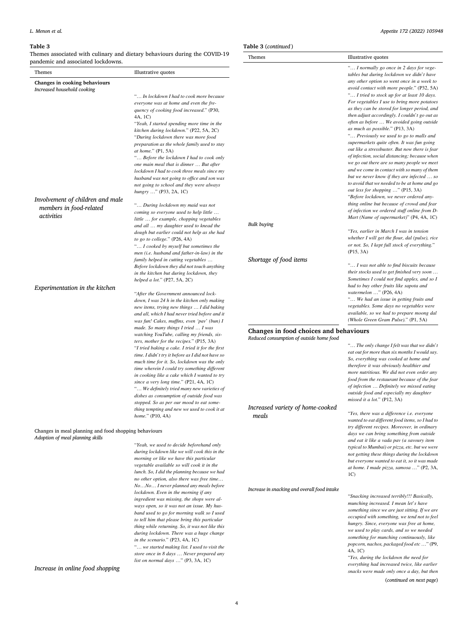## <span id="page-3-0"></span>**Table 3**

Themes associated with culinary and dietary behaviours during the COVID-19 pandemic and associated lockdowns.

| Themes                                                                                    | Illustrative quotes                                                                                                                                                                                                                                                                                                                                                                                                                                                                |                                              | " I normally go once in 2 days for vege-<br>tables but during lockdown we didn't have                                                                                                                                                                                                                                                                                                                                                                            |
|-------------------------------------------------------------------------------------------|------------------------------------------------------------------------------------------------------------------------------------------------------------------------------------------------------------------------------------------------------------------------------------------------------------------------------------------------------------------------------------------------------------------------------------------------------------------------------------|----------------------------------------------|------------------------------------------------------------------------------------------------------------------------------------------------------------------------------------------------------------------------------------------------------------------------------------------------------------------------------------------------------------------------------------------------------------------------------------------------------------------|
| Changes in cooking behaviours<br>Increased household cooking                              | " In lockdown I had to cook more because<br>everyone was at home and even the fre-<br>quency of cooking food increased." (P30,<br>4A, 1C)<br>"Yeah, I started spending more time in the<br>kitchen during lockdown." (P22, 5A, 2C)<br>"During lockdown there was more food<br>preparation as the whole family used to stay                                                                                                                                                         |                                              | any other option so went once in a week to<br>avoid contact with more people." (P32, 5A)<br>" I tried to stock up for at least 10 days.<br>For vegetables I use to bring more potatoes<br>as they can be stored for longer period, and<br>then adjust accordingly. I couldn't go out as<br>often as before  We avoided going outside<br>as much as possible." (P13, 3A)<br>" Previously we used to go to malls and<br>supermarkets quite often. It was fun going |
|                                                                                           | at home." $(P1, 5A)$<br>" Before the lockdown I had to cook only<br>one main meal that is dinner  But after<br>lockdown I had to cook three meals since my<br>husband was not going to office and son was<br>not going to school and they were always<br>hungry " (P33, 2A, 1C)                                                                                                                                                                                                    |                                              | out like a stressbuster. But now there is fear<br>of infection, social distancing; because when<br>we go out there are so many people we meet<br>and we come in contact with so many of them<br>but we never know if they are infected  so<br>to avoid that we needed to be at home and go<br>out less for shopping " (P15, 3A)                                                                                                                                  |
| Involvement of children and male<br>members in food-related<br>activities                 | " During lockdown my maid was not<br>coming so everyone used to help little<br>little  for example, chopping vegetables                                                                                                                                                                                                                                                                                                                                                            |                                              | "Before lockdown, we never ordered any-<br>thing online but because of crowd and fear<br>of infection we ordered stuff online from D-<br>Mart (Name of supermarket)" (P4, 4A, 1C)                                                                                                                                                                                                                                                                                |
|                                                                                           | and all  my daughter used to knead the<br>dough but earlier could not help as she had<br>to go to college." $(P26, 4A)$<br>" I cooked by myself but sometimes the<br>men (i.e. husband and father-in-law) in the                                                                                                                                                                                                                                                                   | Bulk buying                                  | "Yes, earlier in March I was in tension<br>whether I will get the flour, dal (pulse), rice<br>or not. So, I kept full stock of everything."<br>(P15, 3A)                                                                                                                                                                                                                                                                                                         |
|                                                                                           | family helped in cutting vegetables<br>Before lockdown they did not touch anything<br>in the kitchen but during lockdown, they<br>helped a lot." $(P27, 5A, 2C)$                                                                                                                                                                                                                                                                                                                   | Shortage of food items                       | " I was not able to find biscuits because<br>their stocks used to get finished very soon<br>Sometimes I could not find apples, and so I                                                                                                                                                                                                                                                                                                                          |
| Experimentation in the kitchen                                                            | "After the Government announced lock-<br>down, I was 24 h in the kitchen only making<br>new items, trying new things  I did baking<br>and all, which I had never tried before and it<br>was fun! Cakes, muffins, even 'pav' (bun) I                                                                                                                                                                                                                                                |                                              | had to buy other fruits like sapota and<br>watermelon " (P26, 4A)<br>" We had an issue in getting fruits and<br>vegetables. Some days no vegetables were<br>available, so we had to prepare moong dal<br>(Whole Green Gram Pulse)." (P1, 5A)                                                                                                                                                                                                                     |
|                                                                                           | made. So many things I tried  I was<br>watching YouTube, calling my friends, sis-                                                                                                                                                                                                                                                                                                                                                                                                  | Changes in food choices and behaviours       |                                                                                                                                                                                                                                                                                                                                                                                                                                                                  |
|                                                                                           | ters, mother for the recipes." (P15, 3A)<br>"I tried baking a cake. I tried it for the first<br>time. I didn't try it before as I did not have so<br>much time for it. So, lockdown was the only<br>time wherein I could try something different<br>in cooking like a cake which I wanted to try<br>since a very long time." (P21, 4A, 1C)<br>" We definitely tried many new varieties of<br>dishes as consumption of outside food was<br>stopped. So as per our mood to eat some- | Reduced consumption of outside home food     | " The only change I felt was that we didn't<br>eat out for more than six months I would say.<br>So, everything was cooked at home and<br>therefore it was obviously healthier and<br>more nutritious. We did not even order any<br>food from the restaurant because of the fear<br>of infection  Definitely we missed eating<br>outside food and especially my daughter<br>missed it a lot." (P12, 3A)                                                           |
|                                                                                           | thing tempting and new we used to cook it at<br><i>home.</i> " $(PI0, 4A)$                                                                                                                                                                                                                                                                                                                                                                                                         | Increased variety of home-cooked<br>meals    | "Yes, there was a difference i.e. everyone<br>wanted to eat different food items, so I had to                                                                                                                                                                                                                                                                                                                                                                    |
| Changes in meal planning and food shopping behaviours<br>Adoption of meal planning skills | "Yeah, we used to decide beforehand only<br>during lockdown like we will cook this in the<br>morning or like we have this particular<br>vegetable available so will cook it in the<br>lunch. So, I did the planning because we had<br>no other option, also there was free time<br>NoNo I never planned any meals before                                                                                                                                                           |                                              | try different recipes. Moreover, in ordinary<br>days we can bring something from outside<br>and eat it like a vada pav (a savoury item<br>typical to Mumbai) or pizza, etc. but we were<br>not getting these things during the lockdown<br>but everyone wanted to eat it, so it was made<br>at home. I made pizza, samosa " (P2, 3A,<br>1 <sup>C</sup>                                                                                                           |
|                                                                                           | lockdown. Even in the morning if any<br>ingredient was missing, the shops were al-<br>ways open, so it was not an issue. My hus-<br>band used to go for morning walk so I used<br>to tell him that please bring this particular<br>thing while returning. So, it was not like this<br>during lockdown. There was a huge change<br>in the scenario." (P23, 4A, 1C)<br>" we started making list. I used to visit the<br>store once in 8 days  Never prepared any<br>$\frac{1}{2}$    | Increase in snacking and overall food intake | "Snacking increased terribly!!! Basically,<br>munching increased. I mean let's have<br>something since we are just sitting. If we are<br>occupied with something, we tend not to feel<br>hungry. Since, everyone was free at home,<br>we used to play cards, and so we needed<br>something for munching continuously, like<br>popcorn, nachos, packaged food etc " (P9,<br>4A, 1C)<br>"Yes, during the lockdown the need for                                     |

*everything had increased twice, like earlier snacks were made only once a day, but then* 

(*continued on next page*)

**Table 3** (*continued* )

Themes Illustrative quotes

4

*list on normal days* …" (P3, 3A, 1C)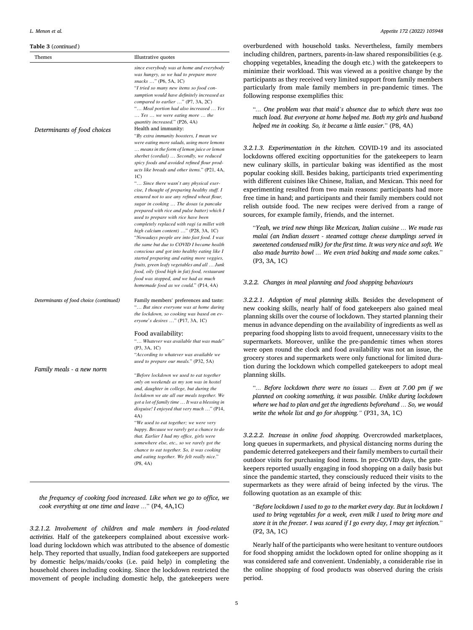# **Table 3** (*continued* )

| Themes                                  | Illustrative quotes                                                                                                                                                                                                                                                                                                                                                                                                                                                                                                                                                                                                                                                                                                                                                                     |
|-----------------------------------------|-----------------------------------------------------------------------------------------------------------------------------------------------------------------------------------------------------------------------------------------------------------------------------------------------------------------------------------------------------------------------------------------------------------------------------------------------------------------------------------------------------------------------------------------------------------------------------------------------------------------------------------------------------------------------------------------------------------------------------------------------------------------------------------------|
| Determinants of food choices            | since everybody was at home and everybody<br>was hungry, so we had to prepare more<br>snacks " (P6, 5A, 1C)<br>"I tried so many new items so food con-<br>sumption would have definitely increased as<br>compared to earlier " (P7, 3A, 2C)<br>" Meal portion had also increased  Yes<br>Yes  we were eating more  the<br>quantity increased." (P26, 4A)<br>Health and immunity:<br>"By extra immunity boosters, I mean we<br>were eating more salads, using more lemons<br>means in the form of lemon juice or lemon                                                                                                                                                                                                                                                                   |
|                                         | sherbet (cordial)  Secondly, we reduced<br>spicy foods and avoided refined flour prod-<br>ucts like breads and other items." (P21, 4A,<br>1 <sup>C</sup><br>" Since there wasn't any physical exer-                                                                                                                                                                                                                                                                                                                                                                                                                                                                                                                                                                                     |
| Determinants of food choice (continued) | cise, I thought of preparing healthy stuff. I<br>ensured not to use any refined wheat flour,<br>sugar in cooking  The dosas (a pancake<br>prepared with rice and pulse batter) which I<br>used to prepare with rice have been<br>completely replaced with ragi (a millet with<br>high calcium content) " (P28, 3A, 1C)<br>"Nowadays people are into fast food. I was<br>the same but due to COVID I became health<br>conscious and got into healthy eating like I<br>started preparing and eating more veggies,<br>fruits, green leafy vegetables and all  Junk<br>food, oily (food high in fat) food, restaurant<br>food was stopped, and we had as much<br>homemade food as we could." (P14, 4A)<br>Family members' preferences and taste:<br>" But since everyone was at home during |
|                                         | the lockdown, so cooking was based on ev-<br>eryone's desires " (P17, 3A, 1C)                                                                                                                                                                                                                                                                                                                                                                                                                                                                                                                                                                                                                                                                                                           |
|                                         | Food availability:<br>" Whatever was available that was made"<br>(P3, 3A, 1C)<br>"According to whatever was available we                                                                                                                                                                                                                                                                                                                                                                                                                                                                                                                                                                                                                                                                |
|                                         | used to prepare our meals." (P32, 5A)                                                                                                                                                                                                                                                                                                                                                                                                                                                                                                                                                                                                                                                                                                                                                   |
| Family meals - a new norm               | "Before lockdown we used to eat together<br>only on weekends as my son was in hostel<br>and, daughter in college, but during the<br>lockdown we ate all our meals together. We<br>got a lot of family time  It was a blessing in<br>disguise! I enjoyed that very much " (P14,<br>4A)<br>"We used to eat together; we were very<br>happy. Because we rarely get a chance to do<br>that. Earlier I had my office, girls were<br>somewhere else, etc., so we rarely got the                                                                                                                                                                                                                                                                                                               |
|                                         | chance to eat together. So, it was cooking<br>and eating together. We felt really nice."<br>(P8, 4A)                                                                                                                                                                                                                                                                                                                                                                                                                                                                                                                                                                                                                                                                                    |

*the frequency of cooking food increased. Like when we go to office, we cook everything at one time and leave …*" (P4, 4A,1C)

*3.2.1.2. Involvement of children and male members in food-related activities.* Half of the gatekeepers complained about excessive workload during lockdown which was attributed to the absence of domestic help. They reported that usually, Indian food gatekeepers are supported by domestic helps/maids/cooks (i.e. paid help) in completing the household chores including cooking. Since the lockdown restricted the movement of people including domestic help, the gatekeepers were overburdened with household tasks. Nevertheless, family members including children, partners, parents-in-law shared responsibilities (e.g. chopping vegetables, kneading the dough etc.) with the gatekeepers to minimize their workload. This was viewed as a positive change by the participants as they received very limited support from family members particularly from male family members in pre-pandemic times. The following response exemplifies this:

"*… One problem was that maid's absence due to which there was too much load. But everyone at home helped me. Both my girls and husband helped me in cooking. So, it became a little easier.*" (P8, 4A)

*3.2.1.3. Experimentation in the kitchen.* COVID-19 and its associated lockdowns offered exciting opportunities for the gatekeepers to learn new culinary skills, in particular baking was identified as the most popular cooking skill. Besides baking, participants tried experimenting with different cuisines like Chinese, Italian, and Mexican. This need for experimenting resulted from two main reasons: participants had more free time in hand; and participants and their family members could not relish outside food. The new recipes were derived from a range of sources, for example family, friends, and the internet.

"*Yeah, we tried new things like Mexican, Italian cuisine … We made ras malai (an Indian dessert - steamed cottage cheese dumplings served in sweetened condensed milk) for the first time. It was very nice and soft. We also made burrito bowl … We even tried baking and made some cakes.*" (P3, 3A, 1C)

#### *3.2.2. Changes in meal planning and food shopping behaviours*

*3.2.2.1. Adoption of meal planning skills.* Besides the development of new cooking skills, nearly half of food gatekeepers also gained meal planning skills over the course of lockdown. They started planning their menus in advance depending on the availability of ingredients as well as preparing food shopping lists to avoid frequent, unnecessary visits to the supermarkets. Moreover, unlike the pre-pandemic times when stores were open round the clock and food availability was not an issue, the grocery stores and supermarkets were only functional for limited duration during the lockdown which compelled gatekeepers to adopt meal planning skills.

"*… Before lockdown there were no issues … Even at 7.00 pm if we planned on cooking something, it was possible. Unlike during lockdown where we had to plan and get the ingredients beforehand … So, we would write the whole list and go for shopping."* (P31, 3A, 1C)

*3.2.2.2. Increase in online food shopping.* Overcrowded marketplaces, long queues in supermarkets, and physical distancing norms during the pandemic deterred gatekeepers and their family members to curtail their outdoor visits for purchasing food items. In pre-COVID days, the gatekeepers reported usually engaging in food shopping on a daily basis but since the pandemic started, they consciously reduced their visits to the supermarkets as they were afraid of being infected by the virus. The following quotation as an example of this:

"*Before lockdown I used to go to the market every day. But in lockdown I used to bring vegetables for a week, even milk I used to bring more and store it in the freezer. I was scared if I go every day, I may get infection.*" (P2, 3A, 1C)

Nearly half of the participants who were hesitant to venture outdoors for food shopping amidst the lockdown opted for online shopping as it was considered safe and convenient. Undeniably, a considerable rise in the online shopping of food products was observed during the crisis period.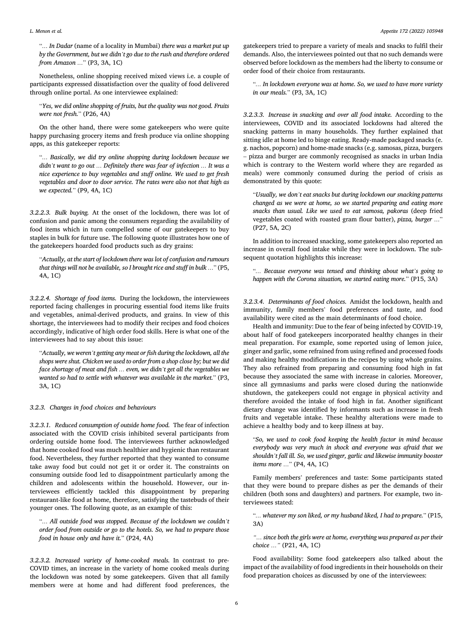"*… In Dadar* (name of a locality in Mumbai) *there was a market put up by the Government, but we didn't go due to the rush and therefore ordered from Amazon …*" (P3, 3A, 1C)

Nonetheless, online shopping received mixed views i.e. a couple of participants expressed dissatisfaction over the quality of food delivered through online portal. As one interviewee explained:

"*Yes, we did online shopping of fruits, but the quality was not good. Fruits were not fresh.*" (P26, 4A)

On the other hand, there were some gatekeepers who were quite happy purchasing grocery items and fresh produce via online shopping apps, as this gatekeeper reports:

"*… Basically, we did try online shopping during lockdown because we didn't want to go out … Definitely there was fear of infection … It was a nice experience to buy vegetables and stuff online. We used to get fresh vegetables and door to door service. The rates were also not that high as we expected.*" (P9, 4A, 1C)

*3.2.2.3. Bulk buying.* At the onset of the lockdown, there was lot of confusion and panic among the consumers regarding the availability of food items which in turn compelled some of our gatekeepers to buy staples in bulk for future use. The following quote illustrates how one of the gatekeepers hoarded food products such as dry grains:

"*Actually, at the start of lockdown there was lot of confusion and rumours that things will not be available, so I brought rice and stuff in bulk …*" (P5, 4A, 1C)

*3.2.2.4. Shortage of food items.* During the lockdown, the interviewees reported facing challenges in procuring essential food items like fruits and vegetables, animal-derived products, and grains. In view of this shortage, the interviewees had to modify their recipes and food choices accordingly, indicative of high order food skills. Here is what one of the interviewees had to say about this issue:

"*Actually, we weren't getting any meat or fish during the lockdown, all the shops were shut. Chicken we used to order from a shop close by; but we did face shortage of meat and fish … even, we didn't get all the vegetables we wanted so had to settle with whatever was available in the market.*" (P3, 3A, 1C)

*3.2.3. Changes in food choices and behaviours* 

*3.2.3.1. Reduced consumption of outside home food.* The fear of infection associated with the COVID crisis inhibited several participants from ordering outside home food. The interviewees further acknowledged that home cooked food was much healthier and hygienic than restaurant food. Nevertheless, they further reported that they wanted to consume take away food but could not get it or order it. The constraints on consuming outside food led to disappointment particularly among the children and adolescents within the household. However, our interviewees efficiently tackled this disappointment by preparing restaurant-like food at home, therefore, satisfying the tastebuds of their younger ones. The following quote, as an example of this:

"*… All outside food was stopped. Because of the lockdown we couldn't order food from outside or go to the hotels. So, we had to prepare those food in house only and have it.*" (P24, 4A)

*3.2.3.2. Increased variety of home-cooked meals.* In contrast to pre-COVID times, an increase in the variety of home cooked meals during the lockdown was noted by some gatekeepers. Given that all family members were at home and had different food preferences, the

gatekeepers tried to prepare a variety of meals and snacks to fulfil their demands. Also, the interviewees pointed out that no such demands were observed before lockdown as the members had the liberty to consume or order food of their choice from restaurants.

"*… In lockdown everyone was at home. So, we used to have more variety in our meals.*" (P3, 3A, 1C)

*3.2.3.3. Increase in snacking and over all food intake.* According to the interviewees, COVID and its associated lockdowns had altered the snacking patterns in many households. They further explained that sitting idle at home led to binge eating. Ready-made packaged snacks (e. g. nachos, popcorn) and home-made snacks (e.g. samosas, pizza, burgers – pizza and burger are commonly recognised as snacks in urban India which is contrary to the Western world where they are regarded as meals) were commonly consumed during the period of crisis as demonstrated by this quote:

"*Usually, we don't eat snacks but during lockdown our snacking patterns changed as we were at home, so we started preparing and eating more snacks than usual. Like we used to eat samosa, pakoras* (deep fried vegetables coated with roasted gram flour batter), *pizza, burger …*" (P27, 5A, 2C)

In addition to increased snacking, some gatekeepers also reported an increase in overall food intake while they were in lockdown. The subsequent quotation highlights this increase:

"*… Because everyone was tensed and thinking about what's going to happen with the Corona situation, we started eating more.*" (P15, 3A)

*3.2.3.4. Determinants of food choices.* Amidst the lockdown, health and immunity, family members' food preferences and taste, and food availability were cited as the main determinants of food choice.

Health and immunity: Due to the fear of being infected by COVID-19, about half of food gatekeepers incorporated healthy changes in their meal preparation. For example, some reported using of lemon juice, ginger and garlic, some refrained from using refined and processed foods and making healthy modifications in the recipes by using whole grains. They also refrained from preparing and consuming food high in fat because they associated the same with increase in calories. Moreover, since all gymnasiums and parks were closed during the nationwide shutdown, the gatekeepers could not engage in physical activity and therefore avoided the intake of food high in fat. Another significant dietary change was identified by informants such as increase in fresh fruits and vegetable intake. These healthy alterations were made to achieve a healthy body and to keep illness at bay.

"*So, we used to cook food keeping the health factor in mind because everybody was very much in shock and everyone was afraid that we shouldn't fall ill. So, we used ginger, garlic and likewise immunity booster items more …*" (P4, 4A, 1C)

Family members' preferences and taste: Some participants stated that they were bound to prepare dishes as per the demands of their children (both sons and daughters) and partners. For example, two interviewees stated:

"*… whatever my son liked, or my husband liked, I had to prepare.*" (P15, 3A)

*"… since both the girls were at home, everything was prepared as per their choice …"* (P21, 4A, 1C)

Food availability: Some food gatekeepers also talked about the impact of the availability of food ingredients in their households on their food preparation choices as discussed by one of the interviewees: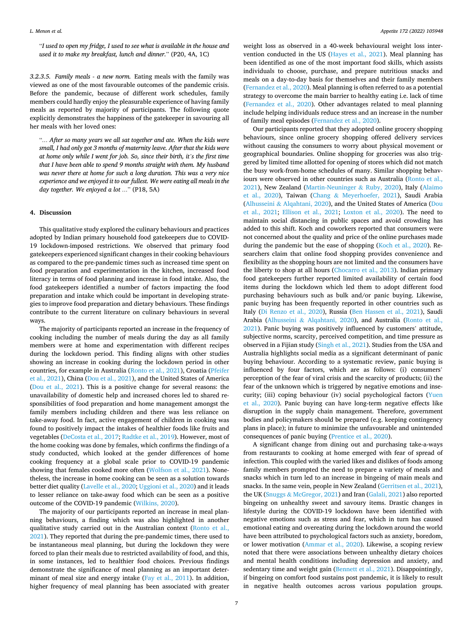"*I used to open my fridge, I used to see what is available in the house and used it to make my breakfast, lunch and dinner.*" (P20, 4A, 1C)

*3.2.3.5. Family meals - a new norm.* Eating meals with the family was viewed as one of the most favourable outcomes of the pandemic crisis. Before the pandemic, because of different work schedules, family members could hardly enjoy the pleasurable experience of having family meals as reported by majority of participants. The following quote explicitly demonstrates the happiness of the gatekeeper in savouring all her meals with her loved ones:

"*… After so many years we all sat together and ate. When the kids were small, I had only got 3 months of maternity leave. After that the kids were at home only while I went for job. So, since their birth, it's the first time that I have been able to spend 9 months straight with them. My husband was never there at home for such a long duration. This was a very nice experience and we enjoyed it to our fullest. We were eating all meals in the day together. We enjoyed a lot …*" (P18, 5A)

# **4. Discussion**

This qualitative study explored the culinary behaviours and practices adopted by Indian primary household food gatekeepers due to COVID-19 lockdown-imposed restrictions. We observed that primary food gatekeepers experienced significant changes in their cooking behaviours as compared to the pre-pandemic times such as increased time spent on food preparation and experimentation in the kitchen, increased food literacy in terms of food planning and increase in food intake. Also, the food gatekeepers identified a number of factors impacting the food preparation and intake which could be important in developing strategies to improve food preparation and dietary behaviours. These findings contribute to the current literature on culinary behaviours in several ways.

The majority of participants reported an increase in the frequency of cooking including the number of meals during the day as all family members were at home and experimentation with different recipes during the lockdown period. This finding aligns with other studies showing an increase in cooking during the lockdown period in other countries, for example in Australia [\(Ronto et al., 2021](#page-9-0)), Croatia [\(Pfeifer](#page-9-0)  [et al., 2021](#page-9-0)), China [\(Dou et al., 2021](#page-8-0)), and the United States of America ([Dou et al., 2021\)](#page-8-0). This is a positive change for several reasons: the unavailability of domestic help and increased chores led to shared responsibilities of food preparation and home management amongst the family members including children and there was less reliance on take-away food. In fact, active engagement of children in cooking was found to positively impact the intakes of healthier foods like fruits and vegetables [\(DeCosta et al., 2017;](#page-8-0) [Radtke et al., 2019\)](#page-9-0). However, most of the home cooking was done by females, which confirms the findings of a study conducted, which looked at the gender differences of home cooking frequency at a global scale prior to COVID-19 pandemic showing that females cooked more often ([Wolfson et al., 2021\)](#page-9-0). Nonetheless, the increase in home cooking can be seen as a solution towards better diet quality [\(Lavelle et al., 2020](#page-9-0); [Uggioni et al., 2020\)](#page-9-0) and it leads to lesser reliance on take-away food which can be seen as a positive outcome of the COVID-19 pandemic [\(Wilkins, 2020](#page-9-0)).

The majority of our participants reported an increase in meal planning behaviours, a finding which was also highlighted in another qualitative study carried out in the Australian context ([Ronto et al.,](#page-9-0)  [2021\)](#page-9-0). They reported that during the pre-pandemic times, there used to be instantaneous meal planning, but during the lockdown they were forced to plan their meals due to restricted availability of food, and this, in some instances, led to healthier food choices. Previous findings demonstrate the significance of meal planning as an important determinant of meal size and energy intake [\(Fay et al., 2011\)](#page-8-0). In addition, higher frequency of meal planning has been associated with greater

weight loss as observed in a 40-week behavioural weight loss intervention conducted in the US [\(Hayes et al., 2021\)](#page-9-0). Meal planning has been identified as one of the most important food skills, which assists individuals to choose, purchase, and prepare nutritious snacks and meals on a day-to-day basis for themselves and their family members ([Fernandez et al., 2020\)](#page-8-0). Meal planning is often referred to as a potential strategy to overcome the main barrier to healthy eating i.e. lack of time ([Fernandez et al., 2020](#page-8-0)). Other advantages related to meal planning include helping individuals reduce stress and an increase in the number of family meal episodes [\(Fernandez et al., 2020\)](#page-8-0).

Our participants reported that they adopted online grocery shopping behaviours, since online grocery shopping offered delivery services without causing the consumers to worry about physical movement or geographical boundaries. Online shopping for groceries was also triggered by limited time allotted for opening of stores which did not match the busy work-from-home schedules of many. Similar shopping behaviours were observed in other countries such as Australia ([Ronto et al.,](#page-9-0)  [2021\)](#page-9-0), New Zealand ([Martin-Neuninger](#page-9-0) & Ruby, 2020), Italy [\(Alaimo](#page-8-0)  [et al., 2020\)](#page-8-0), Taiwan (Chang & [Meyerhoefer, 2021\)](#page-8-0), Saudi Arabia (Alhusseini & [Alqahtani, 2020\)](#page-8-0), and the United States of America [\(Dou](#page-8-0)  [et al., 2021;](#page-8-0) [Ellison et al., 2021;](#page-8-0) [Loxton et al., 2020\)](#page-9-0). The need to maintain social distancing in public spaces and avoid crowding has added to this shift. Koch and coworkers reported that consumers were not concerned about the quality and price of the online purchases made during the pandemic but the ease of shopping ([Koch et al., 2020](#page-9-0)). Researchers claim that online food shopping provides convenience and flexibility as the shopping hours are not limited and the consumers have the liberty to shop at all hours ([Chocarro et al., 2013](#page-8-0)). Indian primary food gatekeepers further reported limited availability of certain food items during the lockdown which led them to adopt different food purchasing behaviours such as bulk and/or panic buying. Likewise, panic buying has been frequently reported in other countries such as Italy ([Di Renzo et al., 2020](#page-8-0)), Russia ([Ben Hassen et al., 2021\)](#page-8-0), Saudi Arabia (Alhusseini & [Alqahtani, 2020](#page-8-0)), and Australia [\(Ronto et al.,](#page-9-0)  [2021\)](#page-9-0). Panic buying was positively influenced by customers' attitude, subjective norms, scarcity, perceived competition, and time pressure as observed in a Fijian study ([Singh et al., 2021](#page-9-0)). Studies from the USA and Australia highlights social media as a significant determinant of panic buying behaviour. According to a systematic review, panic buying is influenced by four factors, which are as follows: (i) consumers' perception of the fear of viral crisis and the scarcity of products; (ii) the fear of the unknown which is triggered by negative emotions and insecurity; (iii) coping behaviour (iv) social psychological factors ([Yuen](#page-9-0)  [et al., 2020\)](#page-9-0). Panic buying can have long-term negative effects like disruption in the supply chain management. Therefore, government bodies and policymakers should be prepared (e.g. keeping contingency plans in place); in future to minimize the unfavourable and unintended consequences of panic buying [\(Prentice et al., 2020\)](#page-9-0).

A significant change from dining out and purchasing take-a-ways from restaurants to cooking at home emerged with fear of spread of infection. This coupled with the varied likes and dislikes of foods among family members prompted the need to prepare a variety of meals and snacks which in turn led to an increase in bingeing of main meals and snacks. In the same vein, people in New Zealand [\(Gerritsen et al., 2021](#page-8-0)), the UK (Snuggs & [McGregor, 2021](#page-9-0)) and Iran ([Galali, 2021](#page-8-0)) also reported bingeing on unhealthy sweet and savoury items. Drastic changes in lifestyle during the COVID-19 lockdown have been identified with negative emotions such as stress and fear, which in turn has caused emotional eating and overeating during the lockdown around the world have been attributed to psychological factors such as anxiety, boredom, or lower motivation ([Ammar et al., 2020\)](#page-8-0). Likewise, a scoping review noted that there were associations between unhealthy dietary choices and mental health conditions including depression and anxiety, and sedentary time and weight gain ([Bennett et al., 2021](#page-8-0)). Disappointingly, if bingeing on comfort food sustains post pandemic, it is likely to result in negative health outcomes across various population groups.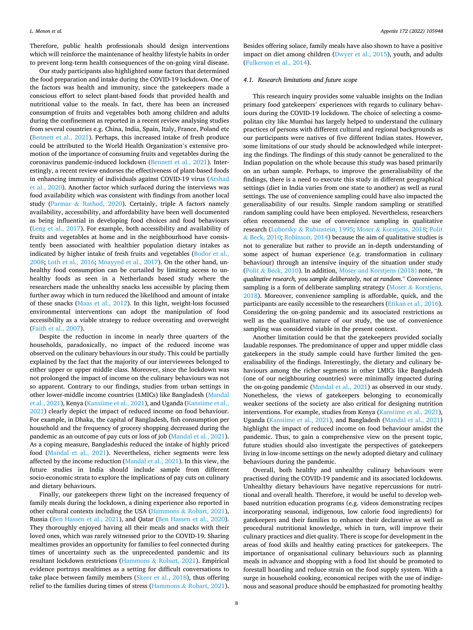Therefore, public health professionals should design interventions which will reinforce the maintenance of healthy lifestyle habits in order to prevent long-term health consequences of the on-going viral disease.

Our study participants also highlighted some factors that determined the food preparation and intake during the COVID-19 lockdown. One of the factors was health and immunity, since the gatekeepers made a conscious effort to select plant-based foods that provided health and nutritional value to the meals. In fact, there has been an increased consumption of fruits and vegetables both among children and adults during the confinement as reported in a recent review analysing studies from several countries e.g. China, India, Spain, Italy, France, Poland etc ([Bennett et al., 2021\)](#page-8-0). Perhaps, this increased intake of fresh produce could be attributed to the World Health Organization's extensive promotion of the importance of consuming fruits and vegetables during the coronavirus pandemic-induced lockdown ([Bennett et al., 2021](#page-8-0)). Interestingly, a recent review endorses the effectiveness of plant-based foods in enhancing immunity of individuals against COVID-19 virus ([Arshad](#page-8-0)  [et al., 2020](#page-8-0)). Another factor which surfaced during the interviews was food availability which was consistent with findings from another local study (Parmar & [Rathod, 2020](#page-9-0)). Certainly, triple A factors namely availability, accessibility, and affordability have been well documented as being influential in developing food choices and food behaviours ([Leng et al., 2017](#page-9-0)). For example, both accessibility and availability of fruits and vegetables at home and in the neighbourhood have consistently been associated with healthier population dietary intakes as indicated by higher intake of fresh fruits and vegetables ([Bodor et al.,](#page-8-0)  [2008;](#page-8-0) [Loth et al., 2016](#page-9-0); [Moayyed et al., 2017](#page-9-0)). On the other hand, unhealthy food consumption can be curtailed by limiting access to unhealthy foods as seen in a Netherlands based study where the researchers made the unhealthy snacks less accessible by placing them further away which in turn reduced the likelihood and amount of intake of these snacks ([Maas et al., 2012](#page-9-0)). In this light, weight-loss focussed environmental interventions can adopt the manipulation of food accessibility as a viable strategy to reduce overeating and overweight ([Faith et al., 2007](#page-8-0)).

Despite the reduction in income in nearly three quarters of the households, paradoxically, no impact of the reduced income was observed on the culinary behaviours in our study. This could be partially explained by the fact that the majority of our interviewees belonged to either upper or upper middle class. Moreover, since the lockdown was not prolonged the impact of income on the culinary behaviours was not so apparent. Contrary to our findings, studies from urban settings in other lower-middle income countries (LMICs) like Bangladesh [\(Mandal](#page-9-0)  [et al., 2021](#page-9-0)), Kenya ([Kansiime et al., 2021](#page-9-0)), and Uganda ([Kansiime et al.,](#page-9-0)  [2021\)](#page-9-0) clearly depict the impact of reduced income on food behaviour. For example, in Dhaka, the capital of Bangladesh, fish consumption per household and the frequency of grocery shopping decreased during the pandemic as an outcome of pay cuts or loss of job [\(Mandal et al., 2021](#page-9-0)). As a coping measure, Bangladeshis reduced the intake of highly priced food [\(Mandal et al., 2021\)](#page-9-0). Nevertheless, richer segments were less affected by the income reduction ([Mandal et al., 2021](#page-9-0)). In this view, the future studies in India should include sample from different socio-economic strata to explore the implications of pay cuts on culinary and dietary behaviours.

Finally, our gatekeepers threw light on the increased frequency of family meals during the lockdown, a dining experience also reported in other cultural contexts including the USA (Hammons & [Robart, 2021](#page-9-0)), Russia ([Ben Hassen et al., 2021](#page-8-0)), and Qatar [\(Ben Hassen et al., 2020](#page-8-0)). They thoroughly enjoyed having all their meals and snacks with their loved ones, which was rarely witnessed prior to the COVID-19. Sharing mealtimes provides an opportunity for families to feel connected during times of uncertainty such as the unprecedented pandemic and its resultant lockdown restrictions (Hammons & [Robart, 2021\)](#page-9-0). Empirical evidence portrays mealtimes as a setting for difficult conversations to take place between family members [\(Skeer et al., 2018](#page-9-0)), thus offering relief to the families during times of stress (Hammons & [Robart, 2021](#page-9-0)).

Besides offering solace, family meals have also shown to have a positive impact on diet among children ([Dwyer et al., 2015\)](#page-8-0), youth, and adults ([Fulkerson et al., 2014\)](#page-8-0).

# *4.1. Research limitations and future scope*

This research inquiry provides some valuable insights on the Indian primary food gatekeepers' experiences with regards to culinary behaviours during the COVID-19 lockdown. The choice of selecting a cosmopolitan city like Mumbai has largely helped to understand the culinary practices of persons with different cultural and regional backgrounds as our participants were natives of five different Indian states. However, some limitations of our study should be acknowledged while interpreting the findings. The findings of this study cannot be generalized to the Indian population on the whole because this study was based primarily on an urban sample. Perhaps, to improve the generalisability of the findings, there is a need to execute this study in different geographical settings (diet in India varies from one state to another) as well as rural settings. The use of convenience sampling could have also impacted the generalisability of our results. Simple random sampling or stratified random sampling could have been employed. Nevertheless, researchers often recommend the use of convenience sampling in qualitative research (Luborsky & [Rubinstein, 1995;](#page-9-0) Moser & [Korstjens, 2018; Polit](#page-9-0)  & [Beck, 2010; Robinson, 2014](#page-9-0)) because the aim of qualitative studies is not to generalize but rather to provide an in-depth understanding of some aspect of human experience (e.g. transformation in culinary behaviour) through an intensive inquiry of the situation under study (Polit & [Beck, 2010](#page-9-0)). In addition, [Moser and Korstjens \(2018\)](#page-9-0) note, "*In qualitative research, you sample deliberately, not at random*." Convenience sampling is a form of deliberate sampling strategy (Moser  $\&$  Korstjens, [2018\)](#page-9-0). Moreover, convenience sampling is affordable, quick, and the participants are easily accessible to the researchers ([Etikan et al., 2016](#page-8-0)). Considering the on-going pandemic and its associated restrictions as well as the qualitative nature of our study, the use of convenience sampling was considered viable in the present context.

Another limitation could be that the gatekeepers provided socially laudable responses. The predominance of upper and upper middle class gatekeepers in the study sample could have further limited the generalisability of the findings. Interestingly, the dietary and culinary behaviours among the richer segments in other LMICs like Bangladesh (one of our neighbouring countries) were minimally impacted during the on-going pandemic ([Mandal et al., 2021](#page-9-0)) as observed in our study. Nonetheless, the views of gatekeepers belonging to economically weaker sections of the society are also critical for designing nutrition interventions. For example, studies from Kenya [\(Kansiime et al., 2021](#page-9-0)), Uganda [\(Kansiime et al., 2021](#page-9-0)), and Bangladesh ([Mandal et al., 2021\)](#page-9-0) highlight the impact of reduced income on food behaviour amidst the pandemic. Thus, to gain a comprehensive view on the present topic, future studies should also investigate the perspectives of gatekeepers living in low-income settings on the newly adopted dietary and culinary behaviours during the pandemic.

Overall, both healthy and unhealthy culinary behaviours were practised during the COVID-19 pandemic and its associated lockdowns. Unhealthy dietary behaviours have negative repercussions for nutritional and overall health. Therefore, it would be useful to develop webbased nutrition education programs (e.g. videos demonstrating recipes incorporating seasonal, indigenous, low calorie food ingredients) for gatekeepers and their families to enhance their declarative as well as procedural nutritional knowledge, which in turn, will improve their culinary practices and diet quality. There is scope for development in the areas of food skills and healthy eating practices for gatekeepers. The importance of organisational culinary behaviours such as planning meals in advance and shopping with a food list should be promoted to forestall hoarding and reduce strain on the food supply system. With a surge in household cooking, economical recipes with the use of indigenous and seasonal produce should be emphasized for promoting healthy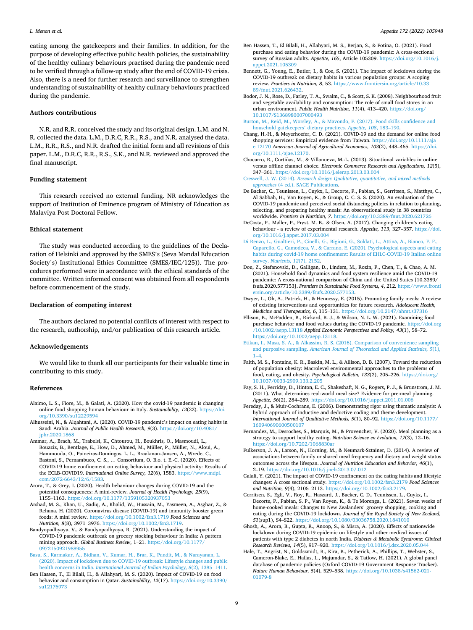<span id="page-8-0"></span>eating among the gatekeepers and their families. In addition, for the purpose of developing effective public health policies, the sustainability of the healthy culinary behaviours practised during the pandemic need to be verified through a follow-up study after the end of COVID-19 crisis. Also, there is a need for further research and surveillance to strengthen understanding of sustainability of healthy culinary behaviours practiced during the pandemic.

### **Authors contributions**

N.R. and R.R. conceived the study and its original design. L.M. and N. R. collected the data. L.M., D.R.C, R.R., R.S., and N.R. analysed the data. L.M., R.R., R.S., and N.R. drafted the initial form and all revisions of this paper. L.M., D.R.C, R.R., R.S., S.K., and N.R. reviewed and approved the final manuscript.

### **Funding statement**

This research received no external funding. NR acknowledges the support of Institution of Eminence program of Ministry of Education as Malaviya Post Doctoral Fellow.

## **Ethical statement**

The study was conducted according to the guidelines of the Declaration of Helsinki and approved by the SMES's (Seva Mandal Education Society's) Institutional Ethics Committee (SMES/IEC/125)). The procedures performed were in accordance with the ethical standards of the committee. Written informed consent was obtained from all respondents before commencement of the study.

## **Declaration of competing interest**

The authors declared no potential conflicts of interest with respect to the research, authorship, and/or publication of this research article.

#### **Acknowledgements**

We would like to thank all our participants for their valuable time in contributing to this study.

#### **References**

- Alaimo, L. S., Fiore, M., & Galati, A. (2020). How the covid-19 pandemic is changing online food shopping human behaviour in Italy. *Sustainability, 12*(22). [https://doi.](https://doi.org/10.3390/su12229594) [org/10.3390/su12229594](https://doi.org/10.3390/su12229594)
- Alhusseini, N., & Alqahtani, A. (2020). COVID-19 pandemic's impact on eating habits in Saudi Arabia. *Journal of Public Health Research, 9*(3). [https://doi.org/10.4081/](https://doi.org/10.4081/jphr.2020.1868) [jphr.2020.1868](https://doi.org/10.4081/jphr.2020.1868)
- Ammar, A., Brach, M., Trabelsi, K., Chtourou, H., Boukhris, O., Masmoudi, L., Bouaziz, B., Bentlage, E., How, D., Ahmed, M., Müller, P., Müller, N., Aloui, A., Hammouda, O., Paineiras-Domingos, L. L., Braakman-Jansen, A., Wrede, C., Bastoni, S., Pernambuco, C. S., … Consortium, O. B.o. t. E.-C. (2020). Effects of COVID-19 home confinement on eating behaviour and physical activity: Results of the ECLB-COVID19. *International Online Survey, 12*(6), 1583. [https://www.mdpi.](https://www.mdpi.com/2072-6643/12/6/1583)  [com/2072-6643/12/6/1583.](https://www.mdpi.com/2072-6643/12/6/1583)
- Arora, T., & Grey, I. (2020). Health behaviour changes during COVID-19 and the potential consequences: A mini-review. *Journal of Health Psychology, 25*(9), 1155–1163.<https://doi.org/10.1177/1359105320937053>
- Arshad, M. S., Khan, U., Sadiq, A., Khalid, W., Hussain, M., Yasmeen, A., Asghar, Z., & Rehana, H. (2020). Coronavirus disease (COVID-19) and immunity booster green foods: A mini review. <https://doi.org/10.1002/fsn3.1719>*Food Sciences and Nutrition, 8*(8), 3971–3976. [https://doi.org/10.1002/fsn3.1719.](https://doi.org/10.1002/fsn3.1719)
- Bandyopadhyaya, V., & Bandyopadhyaya, R. (2021). Understanding the impact of COVID-19 pandemic outbreak on grocery stocking behaviour in India: A pattern mining approach. *Global Business Review*, 1–21. [https://doi.org/10.1177/](https://doi.org/10.1177/0972150921988955)  [0972150921988955](https://doi.org/10.1177/0972150921988955)
- [Basu, S., Karmakar, A., Bidhan, V., Kumar, H., Brar, K., Pandit, M., & Narayanan, L.](http://refhub.elsevier.com/S0195-6663(22)00039-3/sref7)  [\(2020\). Impact of lockdown due to COVID-19 outbreak: Lifestyle changes and public](http://refhub.elsevier.com/S0195-6663(22)00039-3/sref7)  health concerns in India. *[International Journal of Indian Psychology, 8](http://refhub.elsevier.com/S0195-6663(22)00039-3/sref7)*(2), 1385–1411.
- Ben Hassen, T., El Bilali, H., & Allahyari, M. S. (2020). Impact of COVID-19 on food behavior and consumption in Qatar. *Sustainability, 12*(17). [https://doi.org/10.3390/](https://doi.org/10.3390/su12176973)  [su12176973](https://doi.org/10.3390/su12176973)
- Ben Hassen, T., El Bilali, H., Allahyari, M. S., Berjan, S., & Fotina, O. (2021). Food purchase and eating behavior during the COVID-19 pandemic: A cross-sectional survey of Russian adults. *Appetite, 165*, Article 105309. [https://doi.org/10.1016/j.](https://doi.org/10.1016/j.appet.2021.105309)  [appet.2021.105309](https://doi.org/10.1016/j.appet.2021.105309)
- Bennett, G., Young, E., Butler, I., & Coe, S. (2021). The impact of lockdown during the COVID-19 outbreak on dietary habits in various population groups: A scoping review. *Frontiers in Nutrition, 8*, 53. [https://www.frontiersin.org/article/10.33](https://www.frontiersin.org/article/10.3389/fnut.2021.626432) [89/fnut.2021.626432.](https://www.frontiersin.org/article/10.3389/fnut.2021.626432)
- Bodor, J. N., Rose, D., Farley, T. A., Swalm, C., & Scott, S. K. (2008). Neighbourhood fruit and vegetable availability and consumption: The role of small food stores in an urban environment. *Public Health Nutrition, 11*(4), 413–420. [https://doi.org/](https://doi.org/10.1017/S1368980007000493)  [10.1017/S1368980007000493](https://doi.org/10.1017/S1368980007000493)
- [Burton, M., Reid, M., Worsley, A., & Mavondo, F. \(2017\). Food skills confidence and](http://refhub.elsevier.com/S0195-6663(22)00039-3/sref12)  [household gatekeepers](http://refhub.elsevier.com/S0195-6663(22)00039-3/sref12)' dietary practices. *Appetite, 108*, 183–190.
- Chang, H.-H., & Meyerhoefer, C. D. (2021). COVID-19 and the demand for online food shopping services: Empirical evidence from Taiwan. [https://doi.org/10.1111/aja](https://doi.org/10.1111/ajae.12170) [e.12170](https://doi.org/10.1111/ajae.12170) *American Journal of Agricultural Economics, 103*(2), 448–465. [https://doi.](https://doi.org/10.1111/ajae.12170) [org/10.1111/ajae.12170.](https://doi.org/10.1111/ajae.12170)
- Chocarro, R., Cortiñas, M., & Villanueva, M.-L. (2013). Situational variables in online versus offline channel choice. *Electronic Commerce Research and Applications, 12*(5), 347–361. <https://doi.org/10.1016/j.elerap.2013.03.004>
- Creswell, J. W. (2014). *[Research design: Qualitative, quantitative, and mixed methods](http://refhub.elsevier.com/S0195-6663(22)00039-3/sref15)  approaches* [\(4 ed.\). SAGE Publications.](http://refhub.elsevier.com/S0195-6663(22)00039-3/sref15)
- De Backer, C., Teunissen, L., Cuykx, I., Decorte, P., Pabian, S., Gerritsen, S., Matthys, C., Al Sabbah, H., Van Royen, K., & Group, C. C. S. S. (2020). An evaluation of the COVID-19 pandemic and perceived social distancing policies in relation to planning, selecting, and preparing healthy meals: An observational study in 38 countries worldwide. *Frontiers in Nutrition, 7*. <https://doi.org/10.3389/fnut.2020.621726>
- DeCosta, P., Møller, P., Frøst, M. B., & Olsen, A. (2017). Changing children's eating behaviour - a review of experimental research. *Appetite, 113*, 327–357. [https://doi.](https://doi.org/10.1016/j.appet.2017.03.004)  [org/10.1016/j.appet.2017.03.004](https://doi.org/10.1016/j.appet.2017.03.004)
- [Di Renzo, L., Gualtieri, P., Cinelli, G., Bigioni, G., Soldati, L., Attin](http://refhub.elsevier.com/S0195-6663(22)00039-3/sref18)à, A., Bianco, F. F., [Caparello, G., Camodeca, V., & Carrano, E. \(2020\). Psychological aspects and eating](http://refhub.elsevier.com/S0195-6663(22)00039-3/sref18)  [habits during covid-19 home confinement: Results of EHLC-COVID-19 Italian online](http://refhub.elsevier.com/S0195-6663(22)00039-3/sref18)  survey. *[Nutrients, 12](http://refhub.elsevier.com/S0195-6663(22)00039-3/sref18)*(7), 2152.
- Dou, Z., Stefanovski, D., Galligan, D., Lindem, M., Rozin, P., Chen, T., & Chao, A. M. (2021). Household food dynamics and food system resilience amid the COVID-19 pandemic: A cross-national comparison of China and the United States [10.3389/ fsufs.2020.577153]. *Frontiers in Sustainable Food Systems, 4*, 212. [https://www.fronti](https://www.frontiersin.org/article/10.3389/fsufs.2020.577153)  [ersin.org/article/10.3389/fsufs.2020.577153](https://www.frontiersin.org/article/10.3389/fsufs.2020.577153).
- Dwyer, L., Oh, A., Patrick, H., & Hennessy, E. (2015). Promoting family meals: A review of existing interventions and opportunities for future research. *Adolescent Health, Medicine and Therapeutics, 6*, 115–131.<https://doi.org/10.2147/ahmt.s37316>
- Ellison, B., McFadden, B., Rickard, B. J., & Wilson, N. L. W. (2021). Examining food purchase behavior and food values during the COVID-19 pandemic. [https://doi.org](https://doi.org/10.1002/aepp.13118)  [/10.1002/aepp.13118](https://doi.org/10.1002/aepp.13118) *Applied Economic Perspectives and Policy, 43*(1), 58–72. [https://doi.org/10.1002/aepp.13118.](https://doi.org/10.1002/aepp.13118)
- [Etikan, I., Musa, S. A., & Alkassim, R. S. \(2016\). Comparison of convenience sampling](http://refhub.elsevier.com/S0195-6663(22)00039-3/sref22)  and purposive sampling. *[American Journal of Theoretical and Applied Statistics, 5](http://refhub.elsevier.com/S0195-6663(22)00039-3/sref22)*(1), 1–[4.](http://refhub.elsevier.com/S0195-6663(22)00039-3/sref22)
- Faith, M. S., Fontaine, K. R., Baskin, M. L., & Allison, D. B. (2007). Toward the reduction of population obesity: Macrolevel environmental approaches to the problems of food, eating, and obesity. *Psychological Bulletin, 133*(2), 205–226. [https://doi.org/](https://doi.org/10.1037/0033-2909.133.2.205) [10.1037/0033-2909.133.2.205](https://doi.org/10.1037/0033-2909.133.2.205)
- Fay, S. H., Ferriday, D., Hinton, E. C., Shakeshaft, N. G., Rogers, P. J., & Brunstrom, J. M. (2011). What determines real-world meal size? Evidence for pre-meal planning. *Appetite, 56*(2), 284–289. <https://doi.org/10.1016/j.appet.2011.01.006>
- Fereday, J., & Muir-Cochrane, E. (2006). Demonstrating rigor using thematic analysis: A hybrid approach of inductive and deductive coding and theme development. *International Journal of Qualitative Methods, 5*(1), 80–92. [https://doi.org/10.1177/](https://doi.org/10.1177/160940690600500107)  [160940690600500107](https://doi.org/10.1177/160940690600500107)
- Fernandez, M., Desroches, S., Marquis, M., & Provencher, V. (2020). Meal planning as a strategy to support healthy eating. *Nutrition Science en évolution, 17*(3), 12-16. https://doi.org/10.7202/1068830
- Fulkerson, J. A., Larson, N., Horning, M., & Neumark-Sztainer, D. (2014). A review of associations between family or shared meal frequency and dietary and weight status outcomes across the lifespan. *Journal of Nutrition Education and Behavior, 46*(1), 2–19.<https://doi.org/10.1016/j.jneb.2013.07.012>
- Galali, Y. (2021). The impact of COVID-19 confinement on the eating habits and lifestyle changes: A cross sectional study. <https://doi.org/10.1002/fsn3.2179>*Food Sciences and Nutrition, 9*(4), 2105–2113.<https://doi.org/10.1002/fsn3.2179>.
- Gerritsen, S., Egli, V., Roy, R., Haszard, J., Backer, C. D., Teunissen, L., Cuykx, I., Decorte, P., Pabian, S. P., Van Royen, K., & Te Morenga, L. (2021). Seven weeks of home-cooked meals: Changes to New Zealanders' grocery shopping, cooking and eating during the COVID-19 lockdown. *Journal of the Royal Society of New Zealand,*  51(sup1), S4-S22. https://doi.org/10.1080/03036758.2020.18410
- Ghosh, A., Arora, B., Gupta, R., Anoop, S., & Misra, A. (2020). Effects of nationwide lockdown during COVID-19 epidemic on lifestyle and other medical issues of patients with type 2 diabetes in north India. *Diabetes & Metabolic Syndrome: Clinical Research Reviews, 14*(5), 917–920. <https://doi.org/10.1016/j.dsx.2020.05.044>
- Hale, T., Angrist, N., Goldszmidt, R., Kira, B., Petherick, A., Phillips, T., Webster, S., Cameron-Blake, E., Hallas, L., Majumdar, S., & Tatlow, H. (2021). A global panel database of pandemic policies (Oxford COVID-19 Government Response Tracker). *Nature Human Behaviour, 5*(4), 529–538. [https://doi.org/10.1038/s41562-021-](https://doi.org/10.1038/s41562-021-01079-8) [01079-8](https://doi.org/10.1038/s41562-021-01079-8)